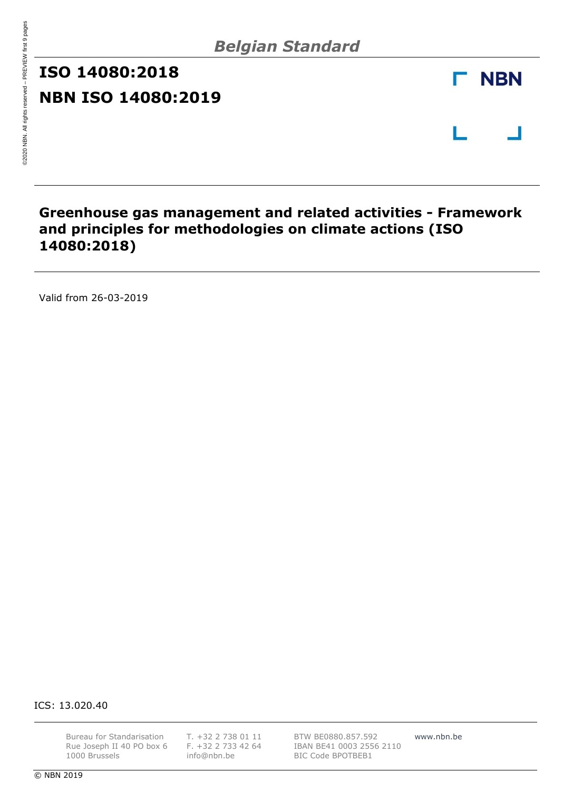# **ISO 14080:2018 NBN ISO 14080:2019**

**NBN** 

# **Greenhouse gas management and related activities - Framework and principles for methodologies on climate actions (ISO 14080:2018)**

Valid from 26-03-2019

ICS: 13.020.40

Bureau for Standarisation Rue Joseph II 40 PO box 6 1000 Brussels

T. +32 2 738 01 11 F. +32 2 733 42 64 [info@nbn.be](mailto:info@nbn.be)

BTW BE0880.857.592 IBAN BE41 0003 2556 2110 BIC Code BPOTBEB1

www.nbn.be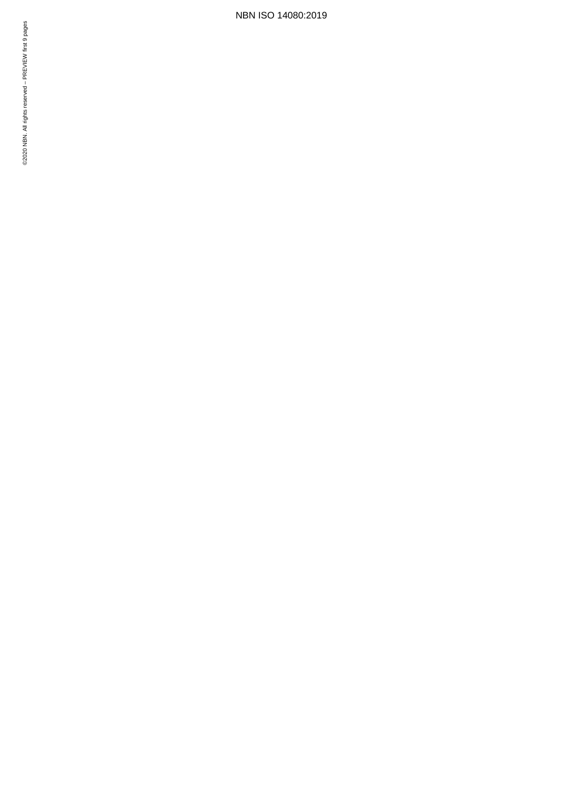@2020 NBN. All rights reserved - PREVIEW first 9 pages ©2020 NBN. All rights reserved – PREVIEW first 9 pages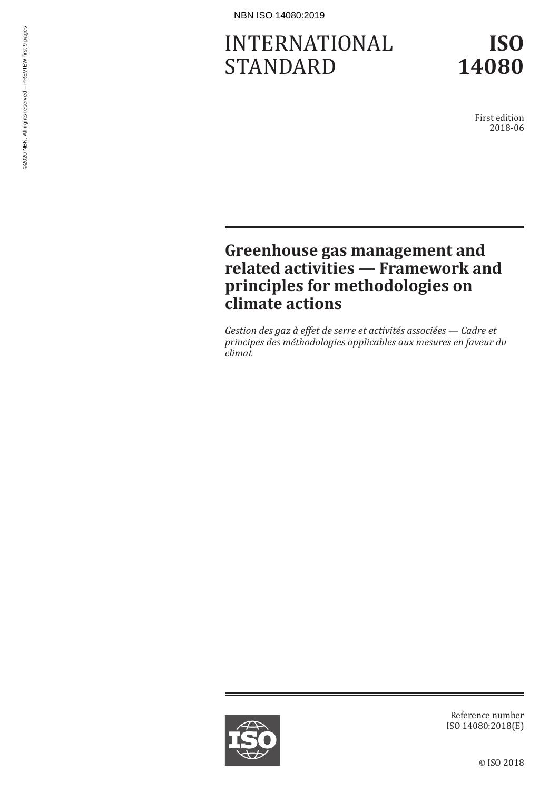# INTERNATIONAL STANDARD

**ISO 14080**

> First edition 2018-06

# **Greenhouse gas management and related activities — Framework and principles for methodologies on climate actions**

*Gestion des gaz à effet de serre et activités associées — Cadre et principes des méthodologies applicables aux mesures en faveur du climat*



Reference number ISO 14080:2018(E)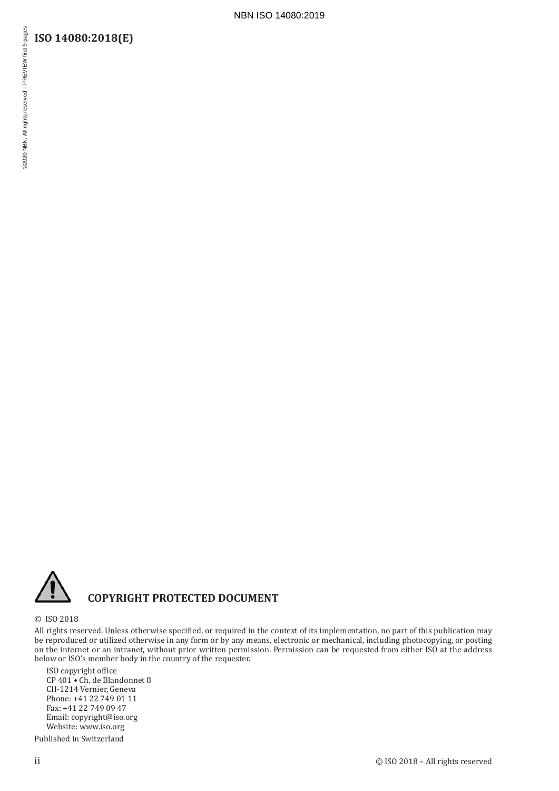#### **ISO 14080:2018(E)**



#### **COPYRIGHT PROTECTED DOCUMENT**

#### © ISO 2018

All rights reserved. Unless otherwise specified, or required in the context of its implementation, no part of this publication may be reproduced or utilized otherwise in any form or by any means, electronic or mechanical, including photocopying, or posting on the internet or an intranet, without prior written permission. Permission can be requested from either ISO at the address below or ISO's member body in the country of the requester.

ISO copyright office CP 401 • Ch. de Blandonnet 8 CH-1214 Vernier, Geneva Phone: +41 22 749 01 11 Fax: +41 22 749 09 47 Email: copyright@iso.org Website: www.iso.org

Published in Switzerland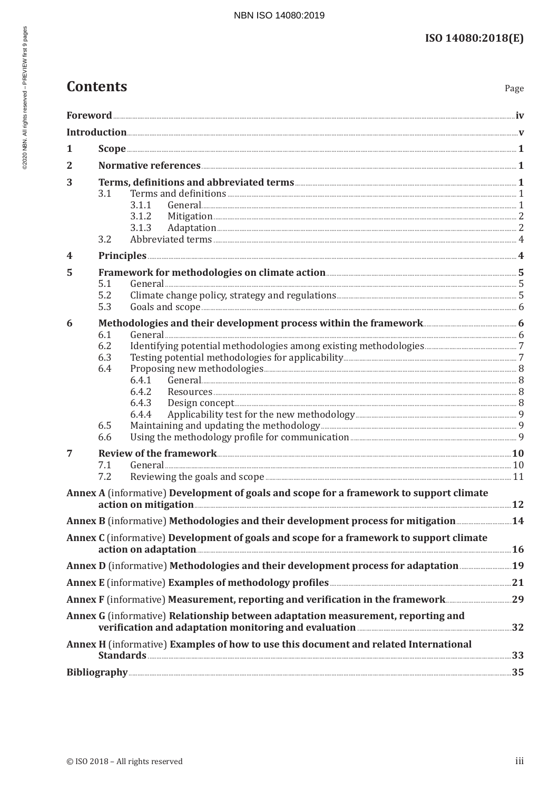Page

| 1                                                                                                                                                                                |                                                                                                                                                                                                                               |  |
|----------------------------------------------------------------------------------------------------------------------------------------------------------------------------------|-------------------------------------------------------------------------------------------------------------------------------------------------------------------------------------------------------------------------------|--|
| 2                                                                                                                                                                                |                                                                                                                                                                                                                               |  |
| 3                                                                                                                                                                                | 3.1<br>3.1.1<br>Mitigation 2<br>3.1.2<br>Adaptation 2<br>3.1.3<br>3.2                                                                                                                                                         |  |
| 4                                                                                                                                                                                |                                                                                                                                                                                                                               |  |
| 5                                                                                                                                                                                | 5.1<br>5.2<br>5.3                                                                                                                                                                                                             |  |
| 6                                                                                                                                                                                | Methodologies and their development process within the framework <b>Example 2016</b> 6                                                                                                                                        |  |
|                                                                                                                                                                                  | 6.1<br>6.2<br>6.3<br>6.4<br>6.4.1<br>6.4.2<br>6.4.3<br>6.4.4<br>6.5<br>6.6                                                                                                                                                    |  |
| 7                                                                                                                                                                                | Review of the framework 2000 and the state of the framework and the state of the framework and the state of the state of the state of the state of the state of the state of the state of the state of the state of the state |  |
|                                                                                                                                                                                  | 7.1<br>7.2                                                                                                                                                                                                                    |  |
| Annex A (informative) Development of goals and scope for a framework to support climate<br>action on mitigation 22                                                               |                                                                                                                                                                                                                               |  |
|                                                                                                                                                                                  | Annex B (informative) Methodologies and their development process for mitigation14                                                                                                                                            |  |
|                                                                                                                                                                                  | Annex C (informative) Development of goals and scope for a framework to support climate                                                                                                                                       |  |
|                                                                                                                                                                                  | Annex D (informative) Methodologies and their development process for adaptation 19                                                                                                                                           |  |
|                                                                                                                                                                                  | Annex E (informative) Examples of methodology profiles <b>Manual Annex E</b> (informative) 21                                                                                                                                 |  |
|                                                                                                                                                                                  |                                                                                                                                                                                                                               |  |
| Annex G (informative) Relationship between adaptation measurement, reporting and<br>verification and adaptation monitoring and evaluation <b>Exercise 2018</b> 2019 12:00:00 132 |                                                                                                                                                                                                                               |  |
| Annex H (informative) Examples of how to use this document and related International<br>Standards 33                                                                             |                                                                                                                                                                                                                               |  |
|                                                                                                                                                                                  |                                                                                                                                                                                                                               |  |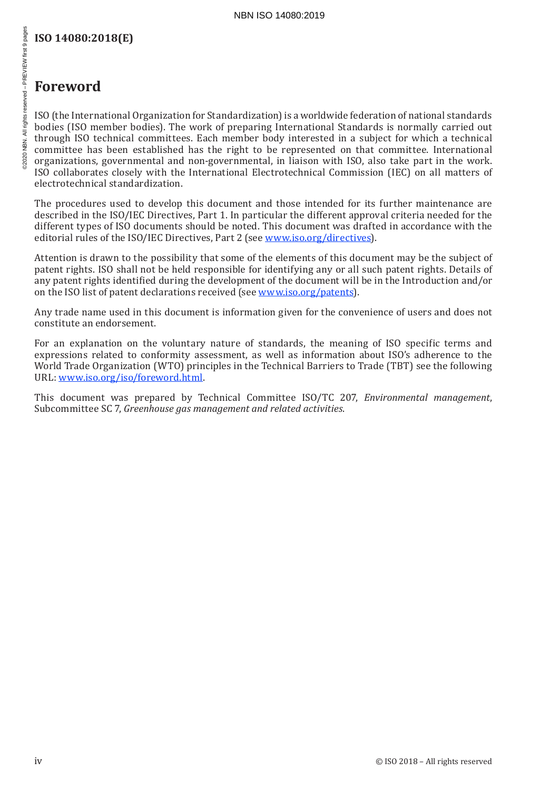## **ISO 14080:2018(E)**

# ©2020 NBN. All rights reserved – PREVIEW first 9 pages52020 NBN. All rights reserved - PREVIEW first 9 pages

# **Foreword**

ISO (the International Organization for Standardization) is a worldwide federation of national standards bodies (ISO member bodies). The work of preparing International Standards is normally carried out through ISO technical committees. Each member body interested in a subject for which a technical committee has been established has the right to be represented on that committee. International organizations, governmental and non-governmental, in liaison with ISO, also take part in the work. ISO collaborates closely with the International Electrotechnical Commission (IEC) on all matters of electrotechnical standardization.

The procedures used to develop this document and those intended for its further maintenance are described in the ISO/IEC Directives, Part 1. In particular the different approval criteria needed for the different types of ISO documents should be noted. This document was drafted in accordance with the editorial rules of the ISO/IEC Directives, Part 2 (see [www.iso.org/directives\)](https://www.iso.org/directives-and-policies.html).

Attention is drawn to the possibility that some of the elements of this document may be the subject of patent rights. ISO shall not be held responsible for identifying any or all such patent rights. Details of any patent rights identified during the development of the document will be in the Introduction and/or on the ISO list of patent declarations received (see www.iso[.org/patents](https://www.iso.org/iso-standards-and-patents.html)).

Any trade name used in this document is information given for the convenience of users and does not constitute an endorsement.

For an explanation on the voluntary nature of standards, the meaning of ISO specific terms and expressions related to conformity assessment, as well as information about ISO's adherence to the World Trade Organization (WTO) principles in the Technical Barriers to Trade (TBT) see the following URL: [www.iso.org/iso/foreword.html](https://www.iso.org/foreword-supplementary-information.html).

This document was prepared by Technical Committee ISO/TC 207, *Environmental management*, Subcommittee SC 7, *Greenhouse gas management and related activities*.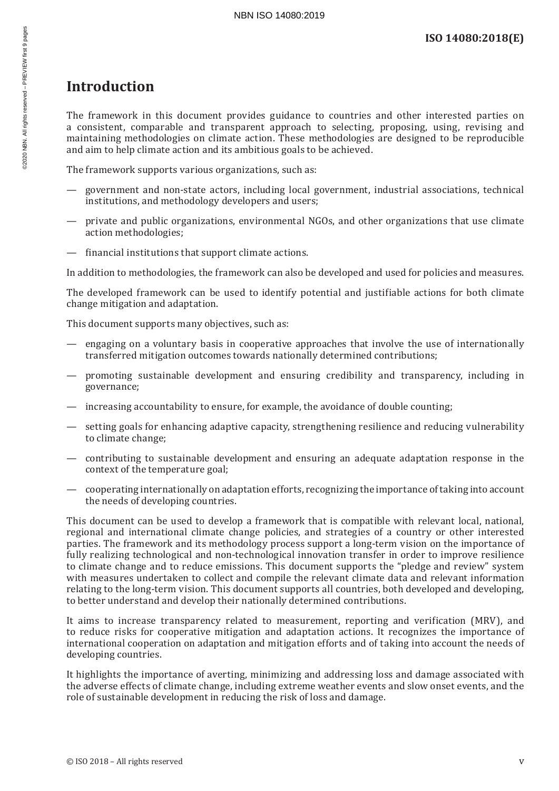# **Introduction**

The framework in this document provides guidance to countries and other interested parties on a consistent, comparable and transparent approach to selecting, proposing, using, revising and maintaining methodologies on climate action. These methodologies are designed to be reproducible and aim to help climate action and its ambitious goals to be achieved.

The framework supports various organizations, such as:

- government and non-state actors, including local government, industrial associations, technical institutions, and methodology developers and users;
- private and public organizations, environmental NGOs, and other organizations that use climate action methodologies;
- financial institutions that support climate actions.

In addition to methodologies, the framework can also be developed and used for policies and measures.

The developed framework can be used to identify potential and justifiable actions for both climate change mitigation and adaptation.

This document supports many objectives, such as:

- engaging on a voluntary basis in cooperative approaches that involve the use of internationally transferred mitigation outcomes towards nationally determined contributions;
- promoting sustainable development and ensuring credibility and transparency, including in governance;
- increasing accountability to ensure, for example, the avoidance of double counting;
- setting goals for enhancing adaptive capacity, strengthening resilience and reducing vulnerability to climate change;
- contributing to sustainable development and ensuring an adequate adaptation response in the context of the temperature goal;
- cooperating internationally on adaptation efforts, recognizing the importance of taking into account the needs of developing countries.

This document can be used to develop a framework that is compatible with relevant local, national, regional and international climate change policies, and strategies of a country or other interested parties. The framework and its methodology process support a long-term vision on the importance of fully realizing technological and non-technological innovation transfer in order to improve resilience to climate change and to reduce emissions. This document supports the "pledge and review" system with measures undertaken to collect and compile the relevant climate data and relevant information relating to the long-term vision. This document supports all countries, both developed and developing, to better understand and develop their nationally determined contributions.

It aims to increase transparency related to measurement, reporting and verification (MRV), and to reduce risks for cooperative mitigation and adaptation actions. It recognizes the importance of international cooperation on adaptation and mitigation efforts and of taking into account the needs of developing countries.

It highlights the importance of averting, minimizing and addressing loss and damage associated with the adverse effects of climate change, including extreme weather events and slow onset events, and the role of sustainable development in reducing the risk of loss and damage.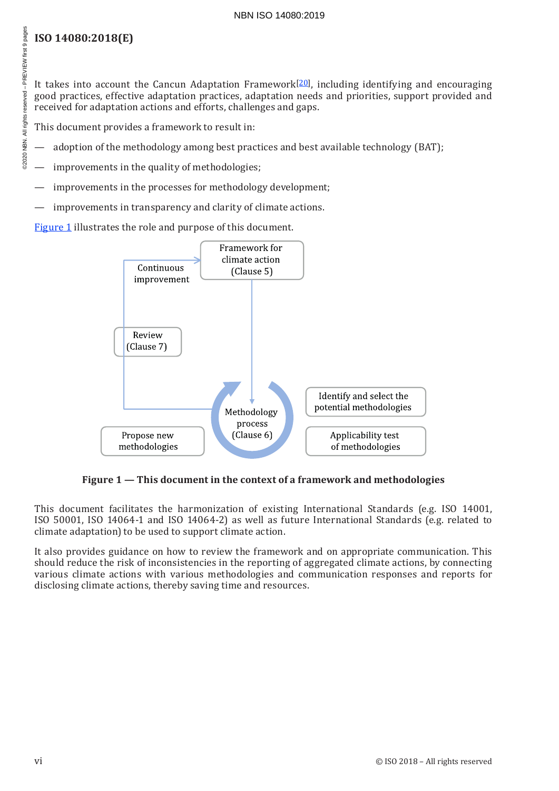#### NBN ISO 14080:2019

## **ISO 14080:2018(E)**

It takes into account the Cancun Adaptation Framework<sup>[20]</sup>, including identifying and encouraging good practices, effective adaptation practices, adaptation needs and priorities, support provided and received for adaptation actions and efforts, challenges and gaps.

This document provides a framework to result in:

- adoption of the methodology among best practices and best available technology (BAT);
- improvements in the quality of methodologies;
- improvements in the processes for methodology development;
- improvements in transparency and clarity of climate actions.

Figure 1 illustrates the role and purpose of this document.



**Figure 1 — This document in the context of a framework and methodologies**

This document facilitates the harmonization of existing International Standards (e.g. ISO 14001, ISO 50001, ISO 14064-1 and ISO 14064-2) as well as future International Standards (e.g. related to climate adaptation) to be used to support climate action.

It also provides guidance on how to review the framework and on appropriate communication. This should reduce the risk of inconsistencies in the reporting of aggregated climate actions, by connecting various climate actions with various methodologies and communication responses and reports for disclosing climate actions, thereby saving time and resources.